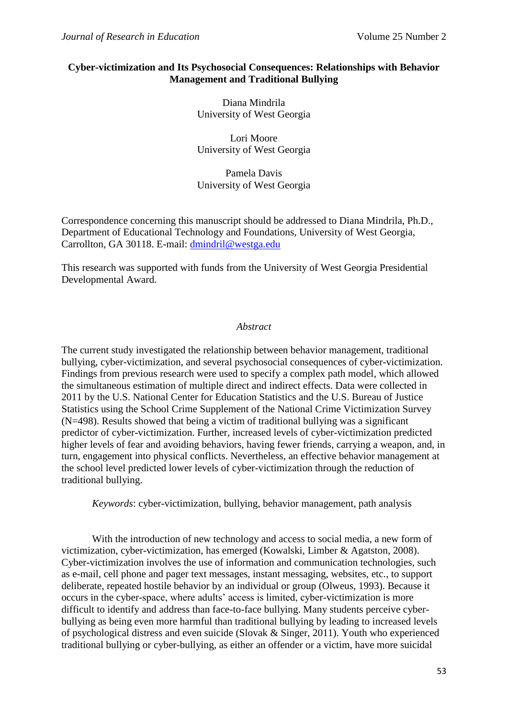## **Cyber-victimization and Its Psychosocial Consequences: Relationships with Behavior Management and Traditional Bullying**

Diana Mindrila University of West Georgia

Lori Moore University of West Georgia

Pamela Davis University of West Georgia

Correspondence concerning this manuscript should be addressed to Diana Mindrila, Ph.D., Department of Educational Technology and Foundations, University of West Georgia, Carrollton, GA 30118. E-mail: [dmindril@westga.edu](mailto:dmindril@westga.edu)

This research was supported with funds from the University of West Georgia Presidential Developmental Award.

### *Abstract*

The current study investigated the relationship between behavior management, traditional bullying, cyber-victimization, and several psychosocial consequences of cyber-victimization. Findings from previous research were used to specify a complex path model, which allowed the simultaneous estimation of multiple direct and indirect effects. Data were collected in 2011 by the U.S. National Center for Education Statistics and the U.S. Bureau of Justice Statistics using the School Crime Supplement of the National Crime Victimization Survey (N=498). Results showed that being a victim of traditional bullying was a significant predictor of cyber-victimization. Further, increased levels of cyber-victimization predicted higher levels of fear and avoiding behaviors, having fewer friends, carrying a weapon, and, in turn, engagement into physical conflicts. Nevertheless, an effective behavior management at the school level predicted lower levels of cyber-victimization through the reduction of traditional bullying.

*Keywords*: cyber-victimization, bullying, behavior management, path analysis

With the introduction of new technology and access to social media, a new form of victimization, cyber-victimization, has emerged (Kowalski, Limber & Agatston, 2008). Cyber-victimization involves the use of information and communication technologies, such as e-mail, cell phone and pager text messages, instant messaging, websites, etc., to support deliberate, repeated hostile behavior by an individual or group (Olweus, 1993). Because it occurs in the cyber-space, where adults' access is limited, cyber-victimization is more difficult to identify and address than face-to-face bullying. Many students perceive cyberbullying as being even more harmful than traditional bullying by leading to increased levels of psychological distress and even suicide (Slovak & Singer, 2011). Youth who experienced traditional bullying or cyber-bullying, as either an offender or a victim, have more suicidal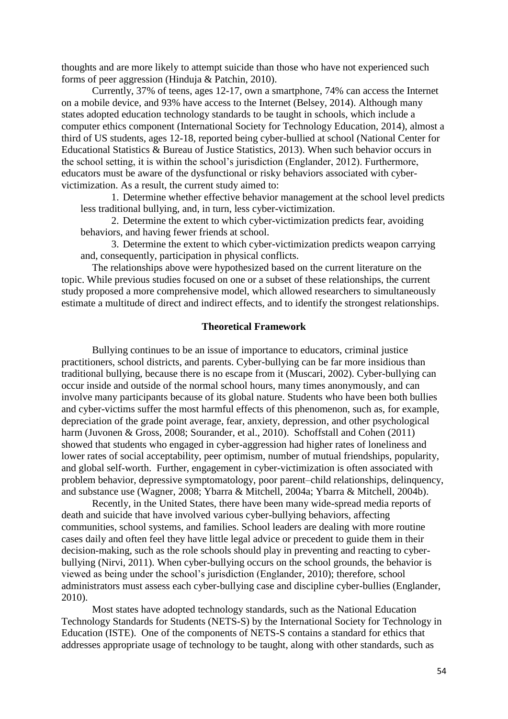thoughts and are more likely to attempt suicide than those who have not experienced such forms of peer aggression (Hinduja & Patchin, 2010).

Currently, 37% of teens, ages 12-17, own a smartphone, 74% can access the Internet on a mobile device, and 93% have access to the Internet (Belsey, 2014). Although many states adopted education technology standards to be taught in schools, which include a computer ethics component (International Society for Technology Education, 2014), almost a third of US students, ages 12-18, reported being cyber-bullied at school (National Center for Educational Statistics & Bureau of Justice Statistics, 2013). When such behavior occurs in the school setting, it is within the school's jurisdiction (Englander, 2012). Furthermore, educators must be aware of the dysfunctional or risky behaviors associated with cybervictimization. As a result, the current study aimed to:

1. Determine whether effective behavior management at the school level predicts less traditional bullying, and, in turn, less cyber-victimization.

2. Determine the extent to which cyber-victimization predicts fear, avoiding behaviors, and having fewer friends at school.

3. Determine the extent to which cyber-victimization predicts weapon carrying and, consequently, participation in physical conflicts.

The relationships above were hypothesized based on the current literature on the topic. While previous studies focused on one or a subset of these relationships, the current study proposed a more comprehensive model, which allowed researchers to simultaneously estimate a multitude of direct and indirect effects, and to identify the strongest relationships.

### **Theoretical Framework**

Bullying continues to be an issue of importance to educators, criminal justice practitioners, school districts, and parents. Cyber-bullying can be far more insidious than traditional bullying, because there is no escape from it (Muscari, 2002). Cyber-bullying can occur inside and outside of the normal school hours, many times anonymously, and can involve many participants because of its global nature. Students who have been both bullies and cyber-victims suffer the most harmful effects of this phenomenon, such as, for example, depreciation of the grade point average, fear, anxiety, depression, and other psychological harm (Juvonen & Gross, 2008; Sourander, et al., 2010). Schoffstall and Cohen (2011) showed that students who engaged in cyber-aggression had higher rates of loneliness and lower rates of social acceptability, peer optimism, number of mutual friendships, popularity, and global self-worth. Further, engagement in cyber-victimization is often associated with problem behavior, depressive symptomatology, poor parent–child relationships, delinquency, and substance use (Wagner, 2008; Ybarra & Mitchell, 2004a; Ybarra & Mitchell, 2004b).

Recently, in the United States, there have been many wide-spread media reports of death and suicide that have involved various cyber-bullying behaviors, affecting communities, school systems, and families. School leaders are dealing with more routine cases daily and often feel they have little legal advice or precedent to guide them in their decision-making, such as the role schools should play in preventing and reacting to cyberbullying (Nirvi, 2011). When cyber-bullying occurs on the school grounds, the behavior is viewed as being under the school's jurisdiction (Englander, 2010); therefore, school administrators must assess each cyber-bullying case and discipline cyber-bullies (Englander, 2010).

Most states have adopted technology standards, such as the National Education Technology Standards for Students (NETS-S) by the International Society for Technology in Education (ISTE). One of the components of NETS-S contains a standard for ethics that addresses appropriate usage of technology to be taught, along with other standards, such as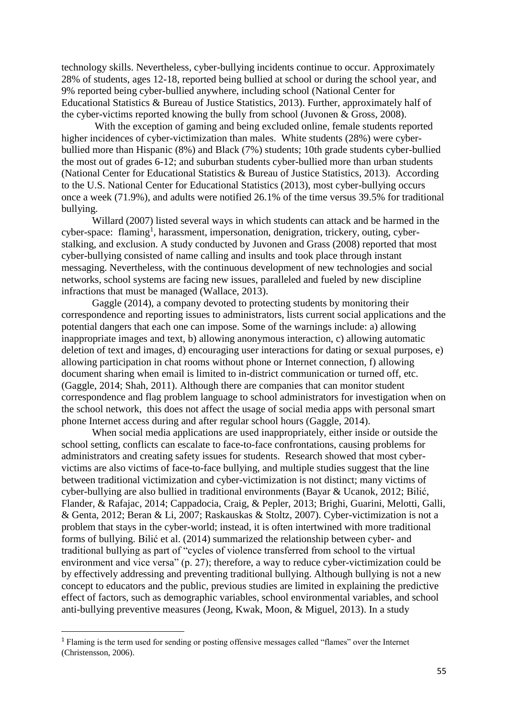technology skills. Nevertheless, cyber-bullying incidents continue to occur. Approximately 28% of students, ages 12-18, reported being bullied at school or during the school year, and 9% reported being cyber-bullied anywhere, including school (National Center for Educational Statistics & Bureau of Justice Statistics, 2013). Further, approximately half of the cyber-victims reported knowing the bully from school (Juvonen & Gross, 2008).

With the exception of gaming and being excluded online, female students reported higher incidences of cyber-victimization than males. White students (28%) were cyberbullied more than Hispanic (8%) and Black (7%) students; 10th grade students cyber-bullied the most out of grades 6-12; and suburban students cyber-bullied more than urban students (National Center for Educational Statistics & Bureau of Justice Statistics, 2013). According to the U.S. National Center for Educational Statistics (2013), most cyber-bullying occurs once a week (71.9%), and adults were notified 26.1% of the time versus 39.5% for traditional bullying.

Willard (2007) listed several ways in which students can attack and be harmed in the cyber-space: flaming<sup>1</sup>, harassment, impersonation, denigration, trickery, outing, cyberstalking, and exclusion. A study conducted by Juvonen and Grass (2008) reported that most cyber-bullying consisted of name calling and insults and took place through instant messaging. Nevertheless, with the continuous development of new technologies and social networks, school systems are facing new issues, paralleled and fueled by new discipline infractions that must be managed (Wallace, 2013).

Gaggle (2014), a company devoted to protecting students by monitoring their correspondence and reporting issues to administrators, lists current social applications and the potential dangers that each one can impose. Some of the warnings include: a) allowing inappropriate images and text, b) allowing anonymous interaction, c) allowing automatic deletion of text and images, d) encouraging user interactions for dating or sexual purposes, e) allowing participation in chat rooms without phone or Internet connection, f) allowing document sharing when email is limited to in-district communication or turned off, etc. (Gaggle, 2014; Shah, 2011). Although there are companies that can monitor student correspondence and flag problem language to school administrators for investigation when on the school network, this does not affect the usage of social media apps with personal smart phone Internet access during and after regular school hours (Gaggle, 2014).

When social media applications are used inappropriately, either inside or outside the school setting, conflicts can escalate to face-to-face confrontations, causing problems for administrators and creating safety issues for students. Research showed that most cybervictims are also victims of face-to-face bullying, and multiple studies suggest that the line between traditional victimization and cyber-victimization is not distinct; many victims of cyber-bullying are also bullied in traditional environments (Bayar & Ucanok, 2012; Bilić, Flander, & Rafajac, 2014; Cappadocia, Craig, & Pepler, 2013; Brighi, Guarini, Melotti, Galli, & Genta, 2012; Beran & Li, 2007; Raskauskas & Stoltz, 2007). Cyber-victimization is not a problem that stays in the cyber-world; instead, it is often intertwined with more traditional forms of bullying. Bilić et al. (2014) summarized the relationship between cyber- and traditional bullying as part of "cycles of violence transferred from school to the virtual environment and vice versa" (p. 27); therefore, a way to reduce cyber-victimization could be by effectively addressing and preventing traditional bullying. Although bullying is not a new concept to educators and the public, previous studies are limited in explaining the predictive effect of factors, such as demographic variables, school environmental variables, and school anti-bullying preventive measures (Jeong, Kwak, Moon, & Miguel, 2013). In a study

1

<sup>1</sup> Flaming is the term used for sending or posting offensive messages called "flames" over the Internet (Christensson, 2006).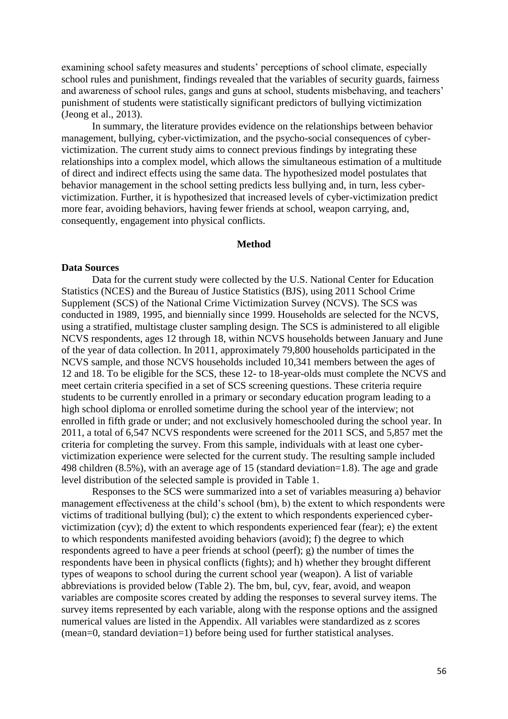examining school safety measures and students' perceptions of school climate, especially school rules and punishment, findings revealed that the variables of security guards, fairness and awareness of school rules, gangs and guns at school, students misbehaving, and teachers' punishment of students were statistically significant predictors of bullying victimization (Jeong et al., 2013).

In summary, the literature provides evidence on the relationships between behavior management, bullying, cyber-victimization, and the psycho-social consequences of cybervictimization. The current study aims to connect previous findings by integrating these relationships into a complex model, which allows the simultaneous estimation of a multitude of direct and indirect effects using the same data. The hypothesized model postulates that behavior management in the school setting predicts less bullying and, in turn, less cybervictimization. Further, it is hypothesized that increased levels of cyber-victimization predict more fear, avoiding behaviors, having fewer friends at school, weapon carrying, and, consequently, engagement into physical conflicts.

#### **Method**

#### **Data Sources**

Data for the current study were collected by the U.S. National Center for Education Statistics (NCES) and the Bureau of Justice Statistics (BJS), using 2011 School Crime Supplement (SCS) of the National Crime Victimization Survey (NCVS). The SCS was conducted in 1989, 1995, and biennially since 1999. Households are selected for the NCVS, using a stratified, multistage cluster sampling design. The SCS is administered to all eligible NCVS respondents, ages 12 through 18, within NCVS households between January and June of the year of data collection. In 2011, approximately 79,800 households participated in the NCVS sample, and those NCVS households included 10,341 members between the ages of 12 and 18. To be eligible for the SCS, these 12- to 18-year-olds must complete the NCVS and meet certain criteria specified in a set of SCS screening questions. These criteria require students to be currently enrolled in a primary or secondary education program leading to a high school diploma or enrolled sometime during the school year of the interview; not enrolled in fifth grade or under; and not exclusively homeschooled during the school year. In 2011, a total of 6,547 NCVS respondents were screened for the 2011 SCS, and 5,857 met the criteria for completing the survey. From this sample, individuals with at least one cybervictimization experience were selected for the current study. The resulting sample included 498 children (8.5%), with an average age of 15 (standard deviation=1.8). The age and grade level distribution of the selected sample is provided in Table 1.

Responses to the SCS were summarized into a set of variables measuring a) behavior management effectiveness at the child's school (bm), b) the extent to which respondents were victims of traditional bullying (bul); c) the extent to which respondents experienced cybervictimization (cyv); d) the extent to which respondents experienced fear (fear); e) the extent to which respondents manifested avoiding behaviors (avoid); f) the degree to which respondents agreed to have a peer friends at school (peerf); g) the number of times the respondents have been in physical conflicts (fights); and h) whether they brought different types of weapons to school during the current school year (weapon). A list of variable abbreviations is provided below (Table 2). The bm, bul, cyv, fear, avoid, and weapon variables are composite scores created by adding the responses to several survey items. The survey items represented by each variable, along with the response options and the assigned numerical values are listed in the Appendix. All variables were standardized as z scores (mean=0, standard deviation=1) before being used for further statistical analyses.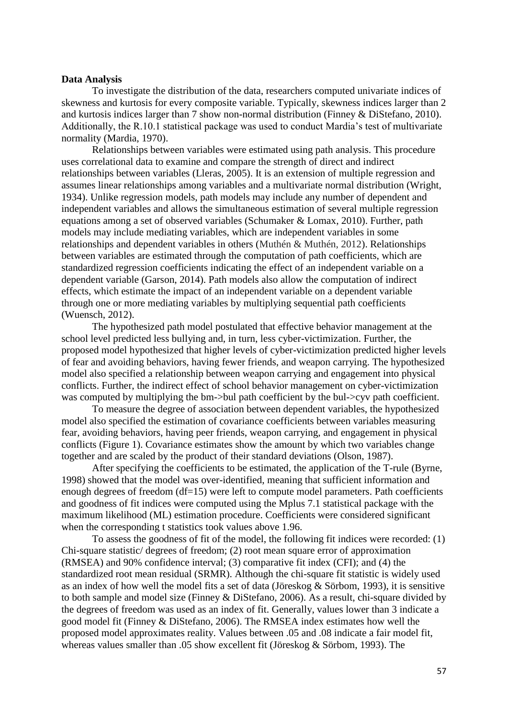### **Data Analysis**

To investigate the distribution of the data, researchers computed univariate indices of skewness and kurtosis for every composite variable. Typically, skewness indices larger than 2 and kurtosis indices larger than 7 show non-normal distribution (Finney & DiStefano, 2010). Additionally, the R.10.1 statistical package was used to conduct Mardia's test of multivariate normality (Mardia, 1970).

Relationships between variables were estimated using path analysis. This procedure uses correlational data to examine and compare the strength of direct and indirect relationships between variables (Lleras, 2005). It is an extension of multiple regression and assumes linear relationships among variables and a multivariate normal distribution (Wright, 1934). Unlike regression models, path models may include any number of dependent and independent variables and allows the simultaneous estimation of several multiple regression equations among a set of observed variables (Schumaker & Lomax, 2010). Further, path models may include mediating variables, which are independent variables in some relationships and dependent variables in others (Muthén & Muthén, 2012). Relationships between variables are estimated through the computation of path coefficients, which are standardized regression coefficients indicating the effect of an independent variable on a dependent variable (Garson, 2014). Path models also allow the computation of indirect effects, which estimate the impact of an independent variable on a dependent variable through one or more mediating variables by multiplying sequential path coefficients (Wuensch, 2012).

The hypothesized path model postulated that effective behavior management at the school level predicted less bullying and, in turn, less cyber-victimization. Further, the proposed model hypothesized that higher levels of cyber-victimization predicted higher levels of fear and avoiding behaviors, having fewer friends, and weapon carrying. The hypothesized model also specified a relationship between weapon carrying and engagement into physical conflicts. Further, the indirect effect of school behavior management on cyber-victimization was computed by multiplying the bm->bul path coefficient by the bul->cyv path coefficient.

To measure the degree of association between dependent variables, the hypothesized model also specified the estimation of covariance coefficients between variables measuring fear, avoiding behaviors, having peer friends, weapon carrying, and engagement in physical conflicts (Figure 1). Covariance estimates show the amount by which two variables change together and are scaled by the product of their standard deviations (Olson, 1987).

After specifying the coefficients to be estimated, the application of the T-rule (Byrne, 1998) showed that the model was over-identified, meaning that sufficient information and enough degrees of freedom (df=15) were left to compute model parameters. Path coefficients and goodness of fit indices were computed using the Mplus 7.1 statistical package with the maximum likelihood (ML) estimation procedure. Coefficients were considered significant when the corresponding t statistics took values above 1.96.

To assess the goodness of fit of the model, the following fit indices were recorded: (1) Chi-square statistic/ degrees of freedom; (2) root mean square error of approximation (RMSEA) and 90% confidence interval; (3) comparative fit index (CFI); and (4) the standardized root mean residual (SRMR). Although the chi-square fit statistic is widely used as an index of how well the model fits a set of data (Jöreskog & Sörbom, 1993), it is sensitive to both sample and model size (Finney & DiStefano, 2006). As a result, chi-square divided by the degrees of freedom was used as an index of fit. Generally, values lower than 3 indicate a good model fit (Finney & DiStefano, 2006). The RMSEA index estimates how well the proposed model approximates reality. Values between .05 and .08 indicate a fair model fit, whereas values smaller than .05 show excellent fit (Jöreskog & Sörbom, 1993). The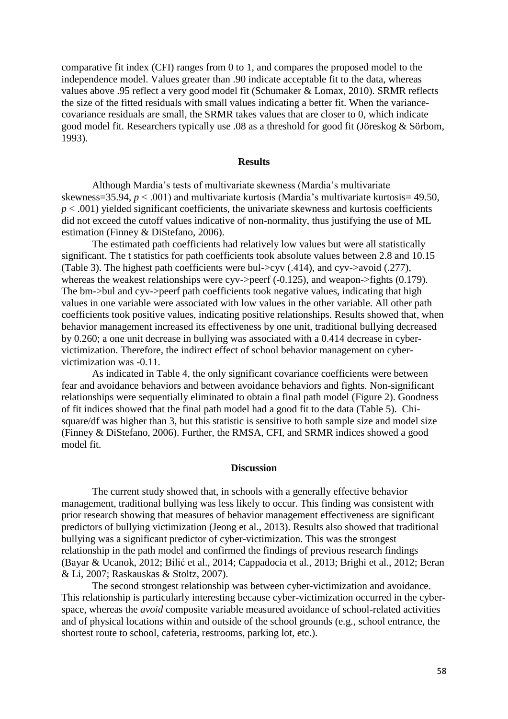comparative fit index (CFI) ranges from 0 to 1, and compares the proposed model to the independence model. Values greater than .90 indicate acceptable fit to the data, whereas values above .95 reflect a very good model fit (Schumaker & Lomax, 2010). SRMR reflects the size of the fitted residuals with small values indicating a better fit. When the variancecovariance residuals are small, the SRMR takes values that are closer to 0, which indicate good model fit. Researchers typically use .08 as a threshold for good fit (Jöreskog & Sörbom, 1993).

### **Results**

Although Mardia's tests of multivariate skewness (Mardia's multivariate skewness=35.94, *p* < .001) and multivariate kurtosis (Mardia's multivariate kurtosis= 49.50,  $p < .001$ ) yielded significant coefficients, the univariate skewness and kurtosis coefficients did not exceed the cutoff values indicative of non-normality, thus justifying the use of ML estimation (Finney & DiStefano, 2006).

The estimated path coefficients had relatively low values but were all statistically significant. The t statistics for path coefficients took absolute values between 2.8 and 10.15 (Table 3). The highest path coefficients were bul->cyv (.414), and cyv->avoid (.277), whereas the weakest relationships were cyv->peerf (-0.125), and weapon->fights (0.179). The bm->bul and cyv->peerf path coefficients took negative values, indicating that high values in one variable were associated with low values in the other variable. All other path coefficients took positive values, indicating positive relationships. Results showed that, when behavior management increased its effectiveness by one unit, traditional bullying decreased by 0.260; a one unit decrease in bullying was associated with a 0.414 decrease in cybervictimization. Therefore, the indirect effect of school behavior management on cybervictimization was -0.11.

As indicated in Table 4, the only significant covariance coefficients were between fear and avoidance behaviors and between avoidance behaviors and fights. Non-significant relationships were sequentially eliminated to obtain a final path model (Figure 2). Goodness of fit indices showed that the final path model had a good fit to the data (Table 5). Chisquare/df was higher than 3, but this statistic is sensitive to both sample size and model size (Finney & DiStefano, 2006). Further, the RMSA, CFI, and SRMR indices showed a good model fit.

#### **Discussion**

The current study showed that, in schools with a generally effective behavior management, traditional bullying was less likely to occur. This finding was consistent with prior research showing that measures of behavior management effectiveness are significant predictors of bullying victimization (Jeong et al., 2013). Results also showed that traditional bullying was a significant predictor of cyber-victimization. This was the strongest relationship in the path model and confirmed the findings of previous research findings (Bayar & Ucanok, 2012; Bilić et al., 2014; Cappadocia et al., 2013; Brighi et al., 2012; Beran & Li, 2007; Raskauskas & Stoltz, 2007).

The second strongest relationship was between cyber-victimization and avoidance. This relationship is particularly interesting because cyber-victimization occurred in the cyberspace, whereas the *avoid* composite variable measured avoidance of school-related activities and of physical locations within and outside of the school grounds (e.g., school entrance, the shortest route to school, cafeteria, restrooms, parking lot, etc.).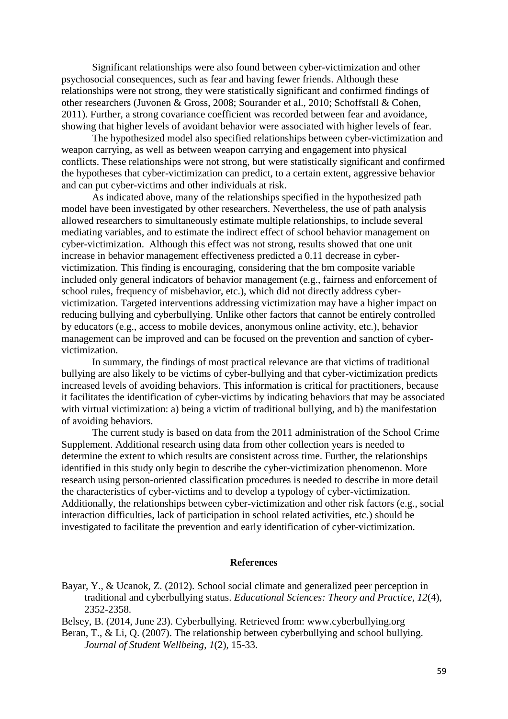Significant relationships were also found between cyber-victimization and other psychosocial consequences, such as fear and having fewer friends. Although these relationships were not strong, they were statistically significant and confirmed findings of other researchers (Juvonen & Gross, 2008; Sourander et al., 2010; Schoffstall & Cohen, 2011). Further, a strong covariance coefficient was recorded between fear and avoidance, showing that higher levels of avoidant behavior were associated with higher levels of fear.

The hypothesized model also specified relationships between cyber-victimization and weapon carrying, as well as between weapon carrying and engagement into physical conflicts. These relationships were not strong, but were statistically significant and confirmed the hypotheses that cyber-victimization can predict, to a certain extent, aggressive behavior and can put cyber-victims and other individuals at risk.

As indicated above, many of the relationships specified in the hypothesized path model have been investigated by other researchers. Nevertheless, the use of path analysis allowed researchers to simultaneously estimate multiple relationships, to include several mediating variables, and to estimate the indirect effect of school behavior management on cyber-victimization. Although this effect was not strong, results showed that one unit increase in behavior management effectiveness predicted a 0.11 decrease in cybervictimization. This finding is encouraging, considering that the bm composite variable included only general indicators of behavior management (e.g., fairness and enforcement of school rules, frequency of misbehavior, etc.), which did not directly address cybervictimization. Targeted interventions addressing victimization may have a higher impact on reducing bullying and cyberbullying. Unlike other factors that cannot be entirely controlled by educators (e.g., access to mobile devices, anonymous online activity, etc.), behavior management can be improved and can be focused on the prevention and sanction of cybervictimization.

In summary, the findings of most practical relevance are that victims of traditional bullying are also likely to be victims of cyber-bullying and that cyber-victimization predicts increased levels of avoiding behaviors. This information is critical for practitioners, because it facilitates the identification of cyber-victims by indicating behaviors that may be associated with virtual victimization: a) being a victim of traditional bullying, and b) the manifestation of avoiding behaviors.

The current study is based on data from the 2011 administration of the School Crime Supplement. Additional research using data from other collection years is needed to determine the extent to which results are consistent across time. Further, the relationships identified in this study only begin to describe the cyber-victimization phenomenon. More research using person-oriented classification procedures is needed to describe in more detail the characteristics of cyber-victims and to develop a typology of cyber-victimization. Additionally, the relationships between cyber-victimization and other risk factors (e.g., social interaction difficulties, lack of participation in school related activities, etc.) should be investigated to facilitate the prevention and early identification of cyber-victimization.

### **References**

Bayar, Y., & Ucanok, Z. (2012). School social climate and generalized peer perception in traditional and cyberbullying status. *Educational Sciences: Theory and Practice*, *12*(4), 2352-2358.

Belsey, B. (2014, June 23). Cyberbullying. Retrieved from: www.cyberbullying.org

Beran, T., & Li, Q. (2007). The relationship between cyberbullying and school bullying. *Journal of Student Wellbeing*, *1*(2), 15-33.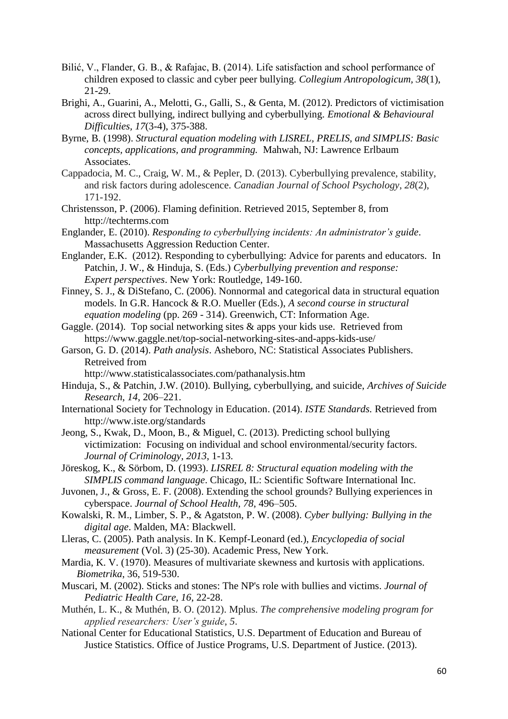- Bilić, V., Flander, G. B., & Rafajac, B. (2014). Life satisfaction and school performance of children exposed to classic and cyber peer bullying. *Collegium Antropologicum, 38*(1), 21-29.
- Brighi, A., Guarini, A., Melotti, G., Galli, S., & Genta, M. (2012). Predictors of victimisation across direct bullying, indirect bullying and cyberbullying. *Emotional & Behavioural Difficulties, 17*(3-4), 375-388.
- Byrne, B. (1998). *Structural equation modeling with LISREL, PRELIS, and SIMPLIS: Basic concepts, applications, and programming.* Mahwah, NJ: Lawrence Erlbaum Associates.
- Cappadocia, M. C., Craig, W. M., & Pepler, D. (2013). Cyberbullying prevalence, stability, and risk factors during adolescence. *Canadian Journal of School Psychology*, *28*(2), 171-192.
- Christensson, P. (2006). Flaming definition. Retrieved 2015, September 8, from http://techterms.com
- Englander, E. (2010). *Responding to cyberbullying incidents: An administrator's guide*. Massachusetts Aggression Reduction Center.
- Englander, E.K. (2012). [Responding to cyberbullying: Advice for parents and educators.](http://books.google.com/books?hl=en&lr=&id=br2sAgAAQBAJ&oi=fnd&pg=PR1&dq=Elizabeth+Englander&ots=43hJiIxjvI&sig=dBvNosy8sxsk4tRLMdrxSRjXrWA#v=onepage&q=Elizabeth%20Englander&f=false) In Patchin, J. W., & Hinduja, S. (Eds.) *Cyberbullying prevention and response: Expert perspectives*. New York: Routledge, 149-160.
- Finney, S. J., & DiStefano, C. (2006). Nonnormal and categorical data in structural equation models. In G.R. Hancock & R.O. Mueller (Eds.), *A second course in structural equation modeling* (pp. 269 - 314). Greenwich, CT: Information Age.
- Gaggle. (2014). Top social networking sites & apps your kids use. Retrieved from <https://www.gaggle.net/top-social-networking-sites-and-apps-kids-use/>
- Garson, G. D. (2014). *Path analysis*. Asheboro, NC: Statistical Associates Publishers. Retreived from
	- http://www.statisticalassociates.com/pathanalysis.htm
- Hinduja, S., & Patchin, J.W. (2010). Bullying, cyberbullying, and suicide, *Archives of Suicide Research*, *14*, 206–221.
- International Society for Technology in Education. (2014). *ISTE Standards.* Retrieved from http://www.iste.org/standards
- Jeong, S., Kwak, D., Moon, B., & Miguel, C. (2013). Predicting school bullying victimization: Focusing on individual and school environmental/security factors. *Journal of Criminology, 2013*, 1-13.
- Jöreskog, K., & Sörbom, D. (1993). *LISREL 8: Structural equation modeling with the SIMPLIS command language*. Chicago, IL: Scientific Software International Inc.
- Juvonen, J., & Gross, E. F. (2008). Extending the school grounds? Bullying experiences in cyberspace. *Journal of School Health, 78*, 496–505.
- Kowalski, R. M., Limber, S. P., & Agatston, P. W. (2008). *Cyber bullying: Bullying in the digital age*. Malden, MA: Blackwell.
- Lleras, C. (2005). Path analysis. In K. Kempf-Leonard (ed.), *Encyclopedia of social measurement* (Vol. 3) (25-30). Academic Press, New York.
- Mardia, K. V. (1970). Measures of multivariate skewness and kurtosis with applications. *Biometrika*, 36, 519-530.
- Muscari, M. (2002). Sticks and stones: The NP's role with bullies and victims. *Journal of Pediatric Health Care, 16*, 22-28.
- Muthén, L. K., & Muthén, B. O. (2012). Mplus. *The comprehensive modeling program for applied researchers: User's guide*, *5*.
- National Center for Educational Statistics, U.S. Department of Education and Bureau of Justice Statistics. Office of Justice Programs, U.S. Department of Justice. (2013).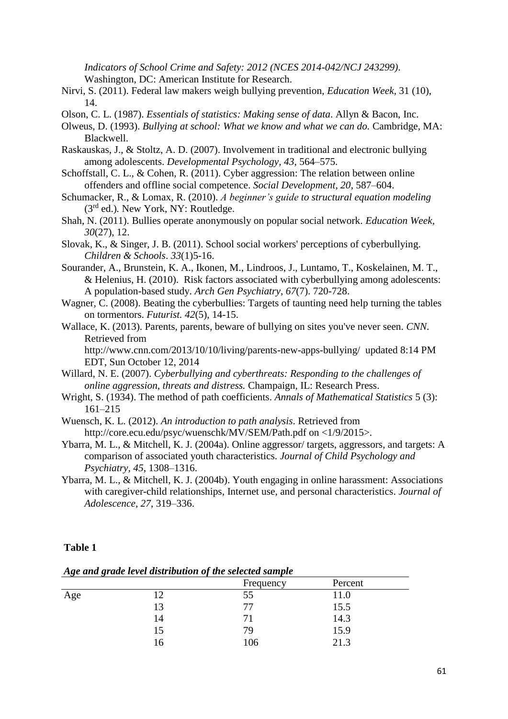*Indicators of School Crime and Safety: 2012 (NCES 2014-042/NCJ 243299)*. Washington, DC: American Institute for Research.

- Nirvi, S. (2011). Federal law makers weigh bullying prevention, *Education Week*, 31 (10), 14.
- Olson, C. L. (1987). *Essentials of statistics: Making sense of data*. Allyn & Bacon, Inc.
- Olweus, D. (1993). *Bullying at school: What we know and what we can do.* Cambridge, MA: Blackwell.
- Raskauskas, J., & Stoltz, A. D. (2007). Involvement in traditional and electronic bullying among adolescents. *Developmental Psychology, 43*, 564–575.
- Schoffstall, C. L., & Cohen, R. (2011). Cyber aggression: The relation between online offenders and offline social competence. *Social Development, 20*, 587–604.
- Schumacker, R., & Lomax, R. (2010). *A beginner's guide to structural equation modeling* (3rd ed.)*.* New York, NY: Routledge.
- Shah, N. (2011). Bullies operate anonymously on popular social network. *Education Week, 30*(27), 12.
- Slovak, K., & Singer, J. B. (2011). School social workers' perceptions of cyberbullying. *Children & Schools*. *33*(1)5-16.
- Sourander, A., Brunstein, K. A., Ikonen, M., Lindroos, J., Luntamo, T., Koskelainen, M. T., & Helenius, H. (2010). Risk factors associated with cyberbullying among adolescents: A population-based study. *Arch Gen Psychiatry, 67*(7). 720-728.
- Wagner, C. (2008). Beating the cyberbullies: Targets of taunting need help turning the tables on tormentors. *Futurist. 42*(5), 14-15.
- Wallace, K. (2013). Parents, parents, beware of bullying on sites you've never seen. *CNN.*  Retrieved from

<http://www.cnn.com/2013/10/10/living/parents-new-apps-bullying/>updated 8:14 PM EDT, Sun October 12, 2014

- Willard, N. E. (2007). *Cyberbullying and cyberthreats: Responding to the challenges of online aggression, threats and distress.* Champaign, IL: Research Press.
- Wright, S. (1934). The method of path coefficients. *Annals of Mathematical Statistics* 5 (3): 161–215
- Wuensch, K. L. (2012). *An introduction to path analysis*. Retrieved from http://core.ecu.edu/psyc/wuenschk/MV/SEM/Path.pdf on <1/9/2015>.
- Ybarra, M. L., & Mitchell, K. J. (2004a). Online aggressor/ targets, aggressors, and targets: A comparison of associated youth characteristics. *Journal of Child Psychology and Psychiatry, 45*, 1308–1316.
- Ybarra, M. L., & Mitchell, K. J. (2004b). Youth engaging in online harassment: Associations with caregiver-child relationships, Internet use, and personal characteristics. *Journal of Adolescence, 27*, 319–336.

### **Table 1**

Frequency Percent Age 12 55 11.0 13 77 15.5 14.3 14.3 15 79 15.9 16 106 21.3

*Age and grade level distribution of the selected sample*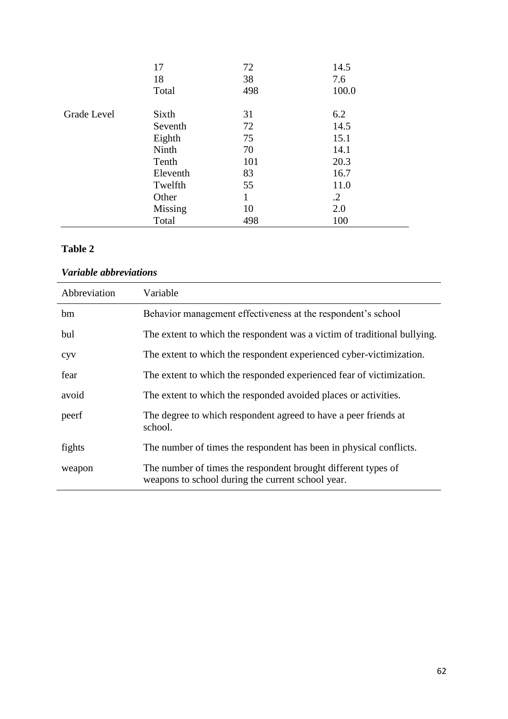|             | 17<br>18<br>Total | 72<br>38<br>498 | 14.5<br>7.6<br>100.0 |
|-------------|-------------------|-----------------|----------------------|
| Grade Level | Sixth             | 31              | 6.2                  |
|             | Seventh           | 72              | 14.5                 |
|             | Eighth            | 75              | 15.1                 |
|             | Ninth             | 70              | 14.1                 |
|             | Tenth             | 101             | 20.3                 |
|             | Eleventh          | 83              | 16.7                 |
|             | Twelfth           | 55              | 11.0                 |
|             | Other             | 1               | $\cdot$ .2           |
|             | Missing           | 10              | 2.0                  |
|             | Total             | 498             | 100                  |

## **Table 2**

# *Variable abbreviations*

| Abbreviation | Variable                                                                                                           |
|--------------|--------------------------------------------------------------------------------------------------------------------|
| bm           | Behavior management effectiveness at the respondent's school                                                       |
| bul          | The extent to which the respondent was a victim of traditional bullying.                                           |
| <b>CVV</b>   | The extent to which the respondent experienced cyber-victimization.                                                |
| fear         | The extent to which the responded experienced fear of victimization.                                               |
| avoid        | The extent to which the responded avoided places or activities.                                                    |
| peerf        | The degree to which respondent agreed to have a peer friends at<br>school.                                         |
| fights       | The number of times the respondent has been in physical conflicts.                                                 |
| weapon       | The number of times the respondent brought different types of<br>weapons to school during the current school year. |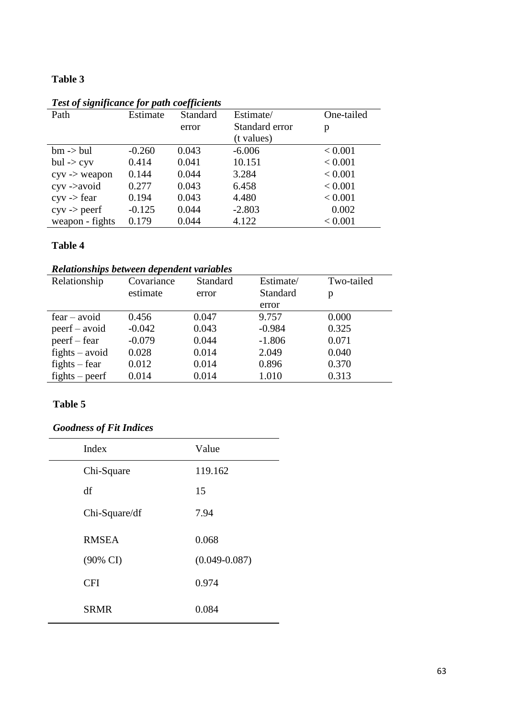# **Table 3**

| 1 car of argumented for pum coofficients |          |          |                |            |
|------------------------------------------|----------|----------|----------------|------------|
| Path                                     | Estimate | Standard | Estimate/      | One-tailed |
|                                          |          | error    | Standard error | p          |
|                                          |          |          | (t values)     |            |
| $bm \rightarrow bul$                     | $-0.260$ | 0.043    | $-6.006$       | < 0.001    |
| $bul \rightarrow cyv$                    | 0.414    | 0.041    | 10.151         | < 0.001    |
| $cyv \rightarrow$ weapon                 | 0.144    | 0.044    | 3.284          | < 0.001    |
| $c$ yv - $>$ avoid                       | 0.277    | 0.043    | 6.458          | < 0.001    |
| $c$ yv -> fear                           | 0.194    | 0.043    | 4.480          | < 0.001    |
| $cyv \rightarrow peerf$                  | $-0.125$ | 0.044    | $-2.803$       | 0.002      |
| weapon - fights                          | 0.179    | 0.044    | 4.122          | < 0.001    |

## *Test of significance for path coefficients*

## **Table 4**

# *Relationships between dependent variables*

| Relationship     | Covariance | Standard | Estimate/ | Two-tailed |
|------------------|------------|----------|-----------|------------|
|                  | estimate   | error    | Standard  | p          |
|                  |            |          | error     |            |
| $fear - avoid$   | 0.456      | 0.047    | 9.757     | 0.000      |
| $peer f - avoid$ | $-0.042$   | 0.043    | $-0.984$  | 0.325      |
| $peer f - fear$  | $-0.079$   | 0.044    | $-1.806$  | 0.071      |
| $fights - avoid$ | 0.028      | 0.014    | 2.049     | 0.040      |
| $fights - fear$  | 0.012      | 0.014    | 0.896     | 0.370      |
| $fights - peerf$ | 0.014      | 0.014    | 1.010     | 0.313      |

## **Table 5**

# *Goodness of Fit Indices*

| Index         | Value             |
|---------------|-------------------|
| Chi-Square    | 119.162           |
| df            | 15                |
| Chi-Square/df | 7.94              |
| <b>RMSEA</b>  | 0.068             |
| (90% CI)      | $(0.049 - 0.087)$ |
| <b>CFI</b>    | 0.974             |
| <b>SRMR</b>   | 0.084             |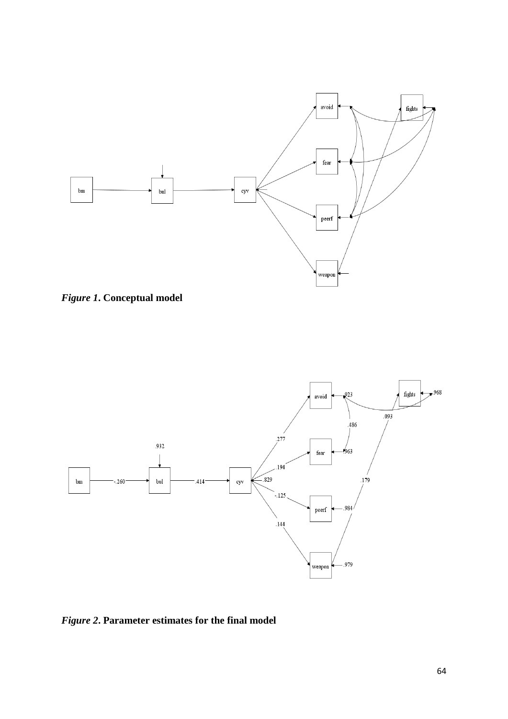

*Figure 1***. Conceptual model**



*Figure 2***. Parameter estimates for the final model**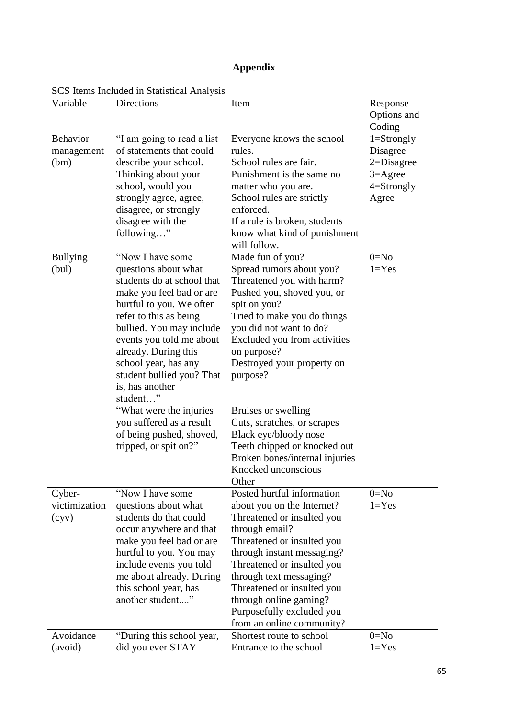| <b>Appendix</b> |
|-----------------|
|-----------------|

|                                       | SCS hems included in Statistical Analysis                                                                                                                                                                                                                                                                                                                                                                                                |                                                                                                                                                                                                                                                                                                                                                                                           |                                                                                               |
|---------------------------------------|------------------------------------------------------------------------------------------------------------------------------------------------------------------------------------------------------------------------------------------------------------------------------------------------------------------------------------------------------------------------------------------------------------------------------------------|-------------------------------------------------------------------------------------------------------------------------------------------------------------------------------------------------------------------------------------------------------------------------------------------------------------------------------------------------------------------------------------------|-----------------------------------------------------------------------------------------------|
| Variable                              | <b>Directions</b>                                                                                                                                                                                                                                                                                                                                                                                                                        | Item                                                                                                                                                                                                                                                                                                                                                                                      | Response<br>Options and<br>Coding                                                             |
| <b>Behavior</b><br>management<br>(bm) | "I am going to read a list"<br>of statements that could<br>describe your school.<br>Thinking about your<br>school, would you<br>strongly agree, agree,<br>disagree, or strongly<br>disagree with the<br>following"                                                                                                                                                                                                                       | Everyone knows the school<br>rules.<br>School rules are fair.<br>Punishment is the same no<br>matter who you are.<br>School rules are strictly<br>enforced.<br>If a rule is broken, students<br>know what kind of punishment<br>will follow.                                                                                                                                              | $1 =$ Strongly<br>Disagree<br>$2 = Disagree$<br>$3 = \text{Agree}$<br>$4 =$ Strongly<br>Agree |
| <b>Bullying</b><br>(bul)              | "Now I have some<br>questions about what<br>students do at school that<br>make you feel bad or are<br>hurtful to you. We often<br>refer to this as being<br>bullied. You may include<br>events you told me about<br>already. During this<br>school year, has any<br>student bullied you? That<br>is, has another<br>student"<br>"What were the injuries<br>you suffered as a result<br>of being pushed, shoved,<br>tripped, or spit on?" | Made fun of you?<br>Spread rumors about you?<br>Threatened you with harm?<br>Pushed you, shoved you, or<br>spit on you?<br>Tried to make you do things<br>you did not want to do?<br>Excluded you from activities<br>on purpose?<br>Destroyed your property on<br>purpose?<br>Bruises or swelling<br>Cuts, scratches, or scrapes<br>Black eye/bloody nose<br>Teeth chipped or knocked out | $0 = No$<br>$1 = Yes$                                                                         |
|                                       |                                                                                                                                                                                                                                                                                                                                                                                                                                          | Broken bones/internal injuries<br>Knocked unconscious<br>Other                                                                                                                                                                                                                                                                                                                            |                                                                                               |
| Cyber-<br>victimization<br>(cyy)      | "Now I have some<br>questions about what<br>students do that could<br>occur anywhere and that<br>make you feel bad or are<br>hurtful to you. You may<br>include events you told<br>me about already. During<br>this school year, has<br>another student"                                                                                                                                                                                 | Posted hurtful information<br>about you on the Internet?<br>Threatened or insulted you<br>through email?<br>Threatened or insulted you<br>through instant messaging?<br>Threatened or insulted you<br>through text messaging?<br>Threatened or insulted you<br>through online gaming?<br>Purposefully excluded you<br>from an online community?                                           | $0=N0$<br>$1 = Yes$                                                                           |
| Avoidance<br>(avoid)                  | "During this school year,<br>did you ever STAY                                                                                                                                                                                                                                                                                                                                                                                           | Shortest route to school<br>Entrance to the school                                                                                                                                                                                                                                                                                                                                        | $0 = No$<br>$1 = Yes$                                                                         |

SCS Items Included in Statistical Analysis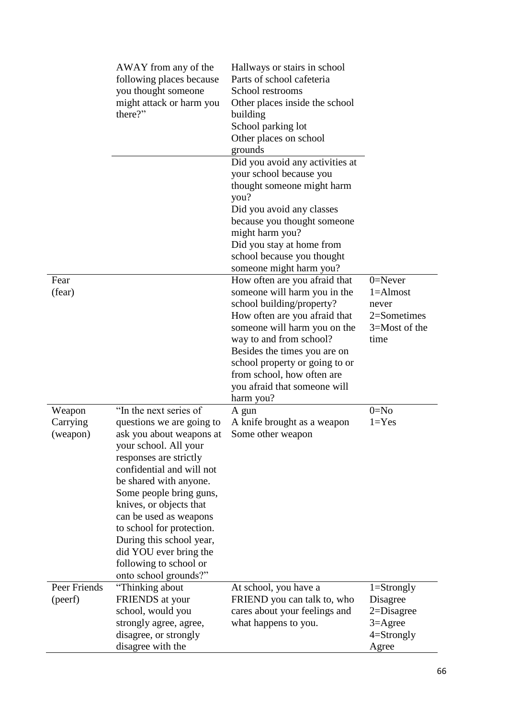|                                | AWAY from any of the<br>following places because<br>you thought someone<br>might attack or harm you<br>there?"                                                                                                                                                                                                                                                                                                  | Hallways or stairs in school<br>Parts of school cafeteria<br>School restrooms<br>Other places inside the school<br>building<br>School parking lot<br>Other places on school<br>grounds<br>Did you avoid any activities at<br>your school because you<br>thought someone might harm<br>you?<br>Did you avoid any classes<br>because you thought someone<br>might harm you?<br>Did you stay at home from<br>school because you thought<br>someone might harm you? |                                                                                               |
|--------------------------------|-----------------------------------------------------------------------------------------------------------------------------------------------------------------------------------------------------------------------------------------------------------------------------------------------------------------------------------------------------------------------------------------------------------------|-----------------------------------------------------------------------------------------------------------------------------------------------------------------------------------------------------------------------------------------------------------------------------------------------------------------------------------------------------------------------------------------------------------------------------------------------------------------|-----------------------------------------------------------------------------------------------|
| Fear<br>(fear)                 |                                                                                                                                                                                                                                                                                                                                                                                                                 | How often are you afraid that<br>someone will harm you in the<br>school building/property?<br>How often are you afraid that<br>someone will harm you on the<br>way to and from school?<br>Besides the times you are on<br>school property or going to or<br>from school, how often are<br>you afraid that someone will<br>harm you?                                                                                                                             | $0 =$ Never<br>$1 =$ Almost<br>never<br>2=Sometimes<br>3=Most of the<br>time                  |
| Weapon<br>Carrying<br>(weapon) | "In the next series of<br>questions we are going to<br>ask you about weapons at<br>your school. All your<br>responses are strictly<br>confidential and will not<br>be shared with anyone.<br>Some people bring guns,<br>knives, or objects that<br>can be used as weapons<br>to school for protection.<br>During this school year,<br>did YOU ever bring the<br>following to school or<br>onto school grounds?" | A gun<br>A knife brought as a weapon<br>Some other weapon                                                                                                                                                                                                                                                                                                                                                                                                       | $0=N0$<br>$1 = Yes$                                                                           |
| Peer Friends<br>(peerf)        | "Thinking about<br>FRIENDS at your<br>school, would you<br>strongly agree, agree,<br>disagree, or strongly<br>disagree with the                                                                                                                                                                                                                                                                                 | At school, you have a<br>FRIEND you can talk to, who<br>cares about your feelings and<br>what happens to you.                                                                                                                                                                                                                                                                                                                                                   | $1 =$ Strongly<br>Disagree<br>$2 = Disagree$<br>$3 = \text{Agree}$<br>$4 =$ Strongly<br>Agree |